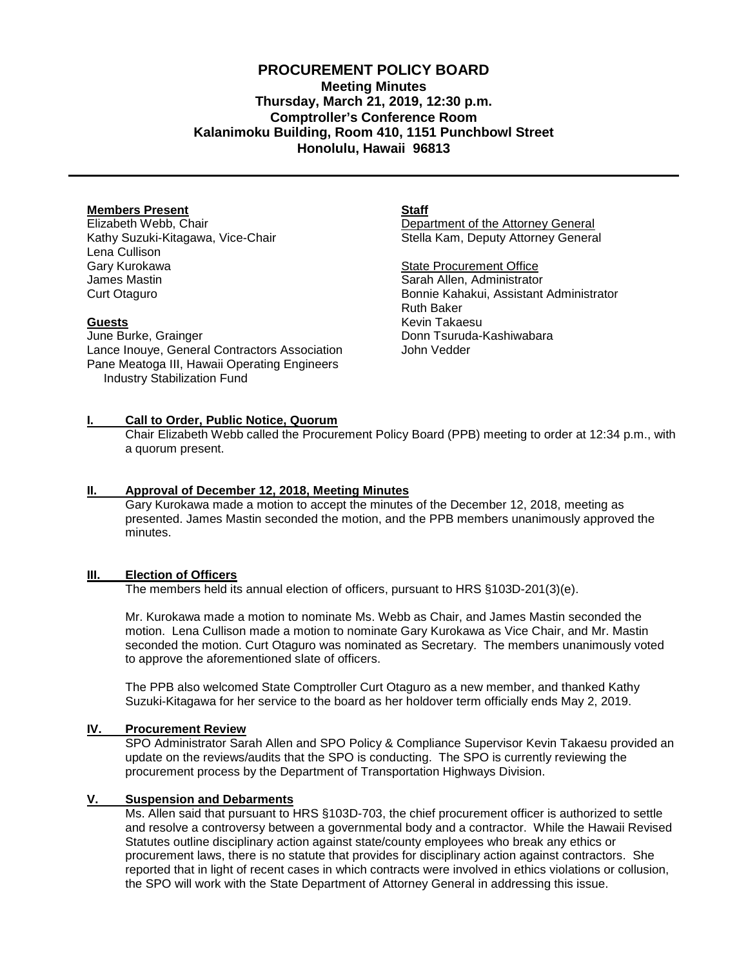# **PROCUREMENT POLICY BOARD Meeting Minutes Thursday, March 21, 2019, 12:30 p.m. Comptroller's Conference Room Kalanimoku Building, Room 410, 1151 Punchbowl Street Honolulu, Hawaii 96813**

### **Members Present**

Elizabeth Webb, Chair Kathy Suzuki-Kitagawa, Vice-Chair Lena Cullison Gary Kurokawa James Mastin Curt Otaguro

#### **Guests**

June Burke, Grainger Lance Inouye, General Contractors Association Pane Meatoga III, Hawaii Operating Engineers Industry Stabilization Fund

**Staff**

Department of the Attorney General Stella Kam, Deputy Attorney General

State Procurement Office Sarah Allen, Administrator Bonnie Kahakui, Assistant Administrator Ruth Baker Kevin Takaesu Donn Tsuruda-Kashiwabara John Vedder

### **I. Call to Order, Public Notice, Quorum**

Chair Elizabeth Webb called the Procurement Policy Board (PPB) meeting to order at 12:34 p.m., with a quorum present.

### **II. Approval of December 12, 2018, [Meeting Minutes](http://spo.hawaii.gov/wp-content/uploads/2014/10/2014_0929-PROCUREMENT-POLICY-BOARD-minutes-DRAFT.pdf)**

Gary Kurokawa made a motion to accept the minutes of the December 12, 2018, meeting as presented. James Mastin seconded the motion, and the PPB members unanimously approved the minutes.

### **III. Election of Officers**

The members held its annual election of officers, pursuant to HRS §103D-201(3)(e).

Mr. Kurokawa made a motion to nominate Ms. Webb as Chair, and James Mastin seconded the motion. Lena Cullison made a motion to nominate Gary Kurokawa as Vice Chair, and Mr. Mastin seconded the motion. Curt Otaguro was nominated as Secretary. The members unanimously voted to approve the aforementioned slate of officers.

The PPB also welcomed State Comptroller Curt Otaguro as a new member, and thanked Kathy Suzuki-Kitagawa for her service to the board as her holdover term officially ends May 2, 2019.

### **IV. Procurement Review**

SPO Administrator Sarah Allen and SPO Policy & Compliance Supervisor Kevin Takaesu provided an update on the reviews/audits that the SPO is conducting. The SPO is currently reviewing the procurement process by the Department of Transportation Highways Division.

#### **V. Suspension and Debarments**

Ms. Allen said that pursuant to HRS §103D-703, the chief procurement officer is authorized to settle and resolve a controversy between a governmental body and a contractor. While the Hawaii Revised Statutes outline disciplinary action against state/county employees who break any ethics or procurement laws, there is no statute that provides for disciplinary action against contractors. She reported that in light of recent cases in which contracts were involved in ethics violations or collusion, the SPO will work with the State Department of Attorney General in addressing this issue.